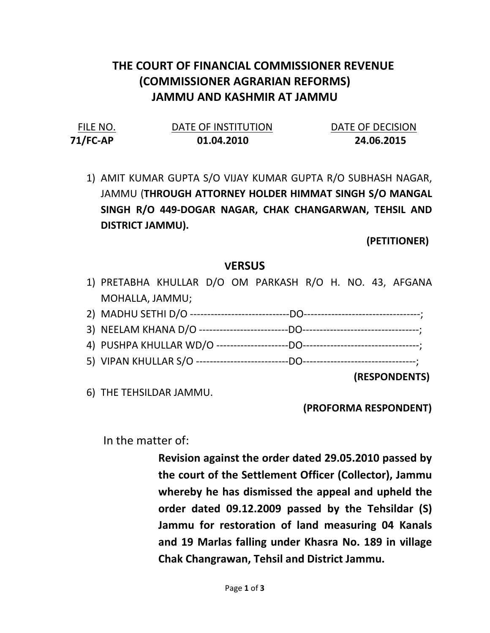## THE COURT OF FINANCIAL COMMISSIONER REVENUE (COMMISSIONER AGRARIAN REFORMS) JAMMU AND KASHMIR AT JAMMU

| FILE NO.    | DATE OF INSTITUTION | DATE OF DECISION |
|-------------|---------------------|------------------|
| $71$ /FC-AP | 01.04.2010          | 24.06.2015       |

1) AMIT KUMAR GUPTA S/O VIJAY KUMAR GUPTA R/O SUBHASH NAGAR, JAMMU (THROUGH ATTORNEY HOLDER HIMMAT SINGH S/O MANGAL SINGH R/O 449-DOGAR NAGAR, CHAK CHANGARWAN, TEHSIL AND DISTRICT JAMMU).

(PETITIONER)

## **VERSUS**

- 1) PRETABHA KHULLAR D/O OM PARKASH R/O H. NO. 43, AFGANA MOHALLA, JAMMU;
- 2) MADHU SETHI D/O -----------------------------DO----------------------------------;
- 3) NEELAM KHANA D/O --------------------------DO----------------------------------;
- 4) PUSHPA KHULLAR WD/O ---------------------DO----------------------------------;
- 5) VIPAN KHULLAR S/O ---------------------------DO---------------------------------;

(RESPONDENTS)

6) THE TEHSILDAR JAMMU.

(PROFORMA RESPONDENT)

In the matter of:

Revision against the order dated 29.05.2010 passed by the court of the Settlement Officer (Collector), Jammu whereby he has dismissed the appeal and upheld the order dated 09.12.2009 passed by the Tehsildar (S) Jammu for restoration of land measuring 04 Kanals and 19 Marlas falling under Khasra No. 189 in village Chak Changrawan, Tehsil and District Jammu.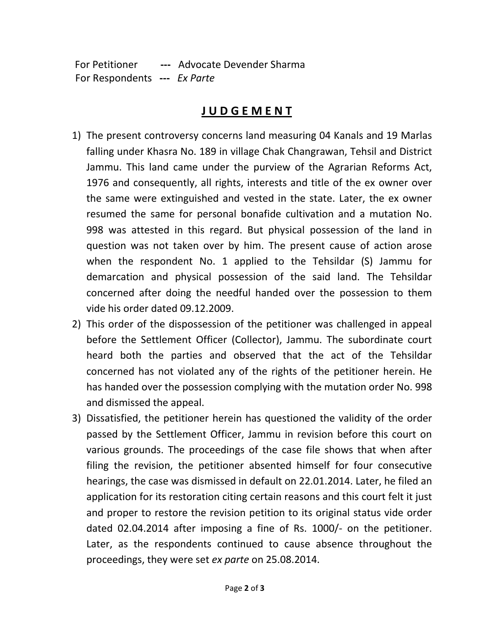For Petitioner --- Advocate Devender Sharma For Respondents --- Ex Parte

## J U D G E M E N T

- 1) The present controversy concerns land measuring 04 Kanals and 19 Marlas falling under Khasra No. 189 in village Chak Changrawan, Tehsil and District Jammu. This land came under the purview of the Agrarian Reforms Act, 1976 and consequently, all rights, interests and title of the ex owner over the same were extinguished and vested in the state. Later, the ex owner resumed the same for personal bonafide cultivation and a mutation No. 998 was attested in this regard. But physical possession of the land in question was not taken over by him. The present cause of action arose when the respondent No. 1 applied to the Tehsildar (S) Jammu for demarcation and physical possession of the said land. The Tehsildar concerned after doing the needful handed over the possession to them vide his order dated 09.12.2009.
- 2) This order of the dispossession of the petitioner was challenged in appeal before the Settlement Officer (Collector), Jammu. The subordinate court heard both the parties and observed that the act of the Tehsildar concerned has not violated any of the rights of the petitioner herein. He has handed over the possession complying with the mutation order No. 998 and dismissed the appeal.
- 3) Dissatisfied, the petitioner herein has questioned the validity of the order passed by the Settlement Officer, Jammu in revision before this court on various grounds. The proceedings of the case file shows that when after filing the revision, the petitioner absented himself for four consecutive hearings, the case was dismissed in default on 22.01.2014. Later, he filed an application for its restoration citing certain reasons and this court felt it just and proper to restore the revision petition to its original status vide order dated 02.04.2014 after imposing a fine of Rs. 1000/- on the petitioner. Later, as the respondents continued to cause absence throughout the proceedings, they were set ex parte on 25.08.2014.